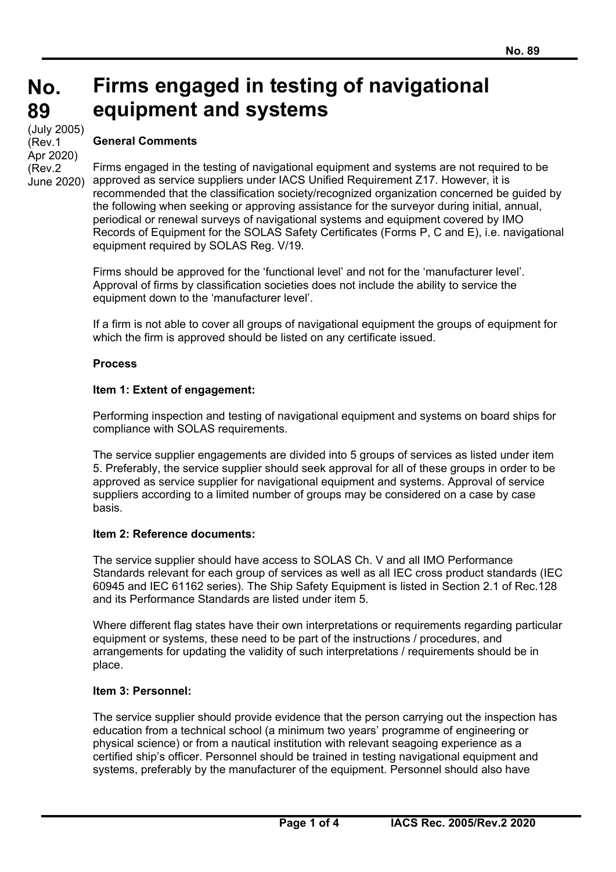#### **No. No. 89 89 Firms engaged in testing of navigational equipment and systems**

(cont) (July 2005) (Rev.1 Apr 2020) (Rev.2 June 2020)

# **General Comments**

Firms engaged in the testing of navigational equipment and systems are not required to be approved as service suppliers under IACS Unified Requirement Z17. However, it is recommended that the classification society/recognized organization concerned be guided by the following when seeking or approving assistance for the surveyor during initial, annual, periodical or renewal surveys of navigational systems and equipment covered by IMO Records of Equipment for the SOLAS Safety Certificates (Forms P, C and E), i.e. navigational equipment required by SOLAS Reg. V/19.

Firms should be approved for the 'functional level' and not for the 'manufacturer level'. Approval of firms by classification societies does not include the ability to service the equipment down to the 'manufacturer level'.

If a firm is not able to cover all groups of navigational equipment the groups of equipment for which the firm is approved should be listed on any certificate issued.

#### **Process**

### **Item 1: Extent of engagement:**

Performing inspection and testing of navigational equipment and systems on board ships for compliance with SOLAS requirements.

The service supplier engagements are divided into 5 groups of services as listed under item 5. Preferably, the service supplier should seek approval for all of these groups in order to be approved as service supplier for navigational equipment and systems. Approval of service suppliers according to a limited number of groups may be considered on a case by case basis.

#### **Item 2: Reference documents:**

The service supplier should have access to SOLAS Ch. V and all IMO Performance Standards relevant for each group of services as well as all IEC cross product standards (IEC 60945 and IEC 61162 series). The Ship Safety Equipment is listed in Section 2.1 of Rec.128 and its Performance Standards are listed under item 5.

Where different flag states have their own interpretations or requirements regarding particular equipment or systems, these need to be part of the instructions / procedures, and arrangements for updating the validity of such interpretations / requirements should be in place.

#### **Item 3: Personnel:**

 $\overline{a}$ 

The service supplier should provide evidence that the person carrying out the inspection has education from a technical school (a minimum two years' programme of engineering or physical science) or from a nautical institution with relevant seagoing experience as a certified ship's officer. Personnel should be trained in testing navigational equipment and systems, preferably by the manufacturer of the equipment. Personnel should also have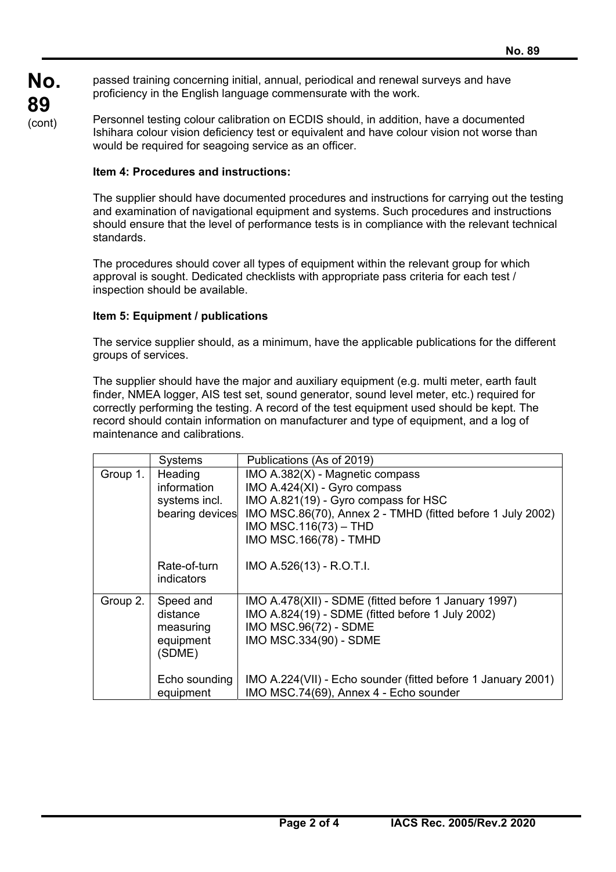**No.** passed training concerning initial, annual, periodical and renewal surveys and have proficiency in the English language commensurate with the work.

> Personnel testing colour calibration on ECDIS should, in addition, have a documented Ishihara colour vision deficiency test or equivalent and have colour vision not worse than would be required for seagoing service as an officer.

### **Item 4: Procedures and instructions:**

**89**  (cont)

> The supplier should have documented procedures and instructions for carrying out the testing and examination of navigational equipment and systems. Such procedures and instructions should ensure that the level of performance tests is in compliance with the relevant technical standards.

The procedures should cover all types of equipment within the relevant group for which approval is sought. Dedicated checklists with appropriate pass criteria for each test / inspection should be available.

### **Item 5: Equipment / publications**

 $\overline{a}$ 

The service supplier should, as a minimum, have the applicable publications for the different groups of services.

The supplier should have the major and auxiliary equipment (e.g. multi meter, earth fault finder, NMEA logger, AIS test set, sound generator, sound level meter, etc.) required for correctly performing the testing. A record of the test equipment used should be kept. The record should contain information on manufacturer and type of equipment, and a log of maintenance and calibrations.

|          | Systems                                                    | Publications (As of 2019)                                                                                                                                                                                                   |
|----------|------------------------------------------------------------|-----------------------------------------------------------------------------------------------------------------------------------------------------------------------------------------------------------------------------|
| Group 1. | Heading<br>information<br>systems incl.<br>bearing devices | IMO A.382(X) - Magnetic compass<br>IMO A.424(XI) - Gyro compass<br>IMO A.821(19) - Gyro compass for HSC<br>IMO MSC.86(70), Annex 2 - TMHD (fitted before 1 July 2002)<br>IMO MSC.116 $(73)$ - THD<br>IMO MSC.166(78) - TMHD |
|          | Rate-of-turn<br>indicators                                 | IMO A.526(13) - R.O.T.I.                                                                                                                                                                                                    |
| Group 2. | Speed and<br>distance<br>measuring<br>equipment<br>(SDME)  | IMO A.478(XII) - SDME (fitted before 1 January 1997)<br>IMO A.824(19) - SDME (fitted before 1 July 2002)<br>IMO MSC.96(72) - SDME<br>IMO MSC.334(90) - SDME                                                                 |
|          | Echo sounding<br>equipment                                 | IMO A.224(VII) - Echo sounder (fitted before 1 January 2001)<br>IMO MSC.74(69), Annex 4 - Echo sounder                                                                                                                      |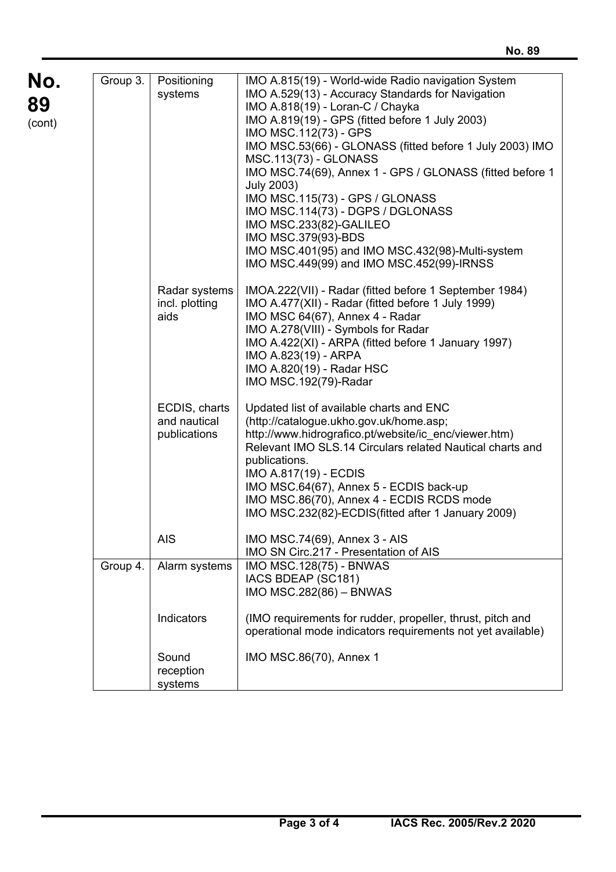**No. 89**   $($ con $)$ 

 $\overline{a}$ 

| ).<br>t) | Group 3. | Positioning<br>systems                               | IMO A.815(19) - World-wide Radio navigation System<br>IMO A.529(13) - Accuracy Standards for Navigation<br>IMO A.818(19) - Loran-C / Chayka<br>IMO A.819(19) - GPS (fitted before 1 July 2003)<br>IMO MSC.112(73) - GPS<br>IMO MSC.53(66) - GLONASS (fitted before 1 July 2003) IMO<br><b>MSC.113(73) - GLONASS</b><br>IMO MSC.74(69), Annex 1 - GPS / GLONASS (fitted before 1<br><b>July 2003)</b><br>IMO MSC.115(73) - GPS / GLONASS<br>IMO MSC.114(73) - DGPS / DGLONASS<br>IMO MSC.233(82)-GALILEO<br>IMO MSC.379(93)-BDS<br>IMO MSC.401(95) and IMO MSC.432(98)-Multi-system<br>IMO MSC.449(99) and IMO MSC.452(99)-IRNSS |
|----------|----------|------------------------------------------------------|---------------------------------------------------------------------------------------------------------------------------------------------------------------------------------------------------------------------------------------------------------------------------------------------------------------------------------------------------------------------------------------------------------------------------------------------------------------------------------------------------------------------------------------------------------------------------------------------------------------------------------|
|          |          | Radar systems<br>incl. plotting<br>aids              | IMOA.222(VII) - Radar (fitted before 1 September 1984)<br>IMO A.477(XII) - Radar (fitted before 1 July 1999)<br>IMO MSC 64(67), Annex 4 - Radar<br>IMO A.278(VIII) - Symbols for Radar<br>IMO A.422(XI) - ARPA (fitted before 1 January 1997)<br>IMO A.823(19) - ARPA<br>IMO A.820(19) - Radar HSC<br>IMO MSC.192(79)-Radar                                                                                                                                                                                                                                                                                                     |
|          |          | ECDIS, charts<br>and nautical<br>publications<br>AIS | Updated list of available charts and ENC<br>(http://catalogue.ukho.gov.uk/home.asp;<br>http://www.hidrografico.pt/website/ic enc/viewer.htm)<br>Relevant IMO SLS.14 Circulars related Nautical charts and<br>publications.<br>IMO A.817(19) - ECDIS<br>IMO MSC.64(67), Annex 5 - ECDIS back-up<br>IMO MSC.86(70), Annex 4 - ECDIS RCDS mode<br>IMO MSC.232(82)-ECDIS(fitted after 1 January 2009)<br>IMO MSC.74(69), Annex 3 - AIS                                                                                                                                                                                              |
|          |          |                                                      | IMO SN Circ.217 - Presentation of AIS                                                                                                                                                                                                                                                                                                                                                                                                                                                                                                                                                                                           |
|          | Group 4. | Alarm systems                                        | <b>IMO MSC.128(75) - BNWAS</b><br>IACS BDEAP (SC181)<br>IMO MSC.282(86) - BNWAS                                                                                                                                                                                                                                                                                                                                                                                                                                                                                                                                                 |
|          |          | Indicators                                           | (IMO requirements for rudder, propeller, thrust, pitch and<br>operational mode indicators requirements not yet available)                                                                                                                                                                                                                                                                                                                                                                                                                                                                                                       |
|          |          | Sound<br>reception<br>systems                        | IMO MSC.86(70), Annex 1                                                                                                                                                                                                                                                                                                                                                                                                                                                                                                                                                                                                         |